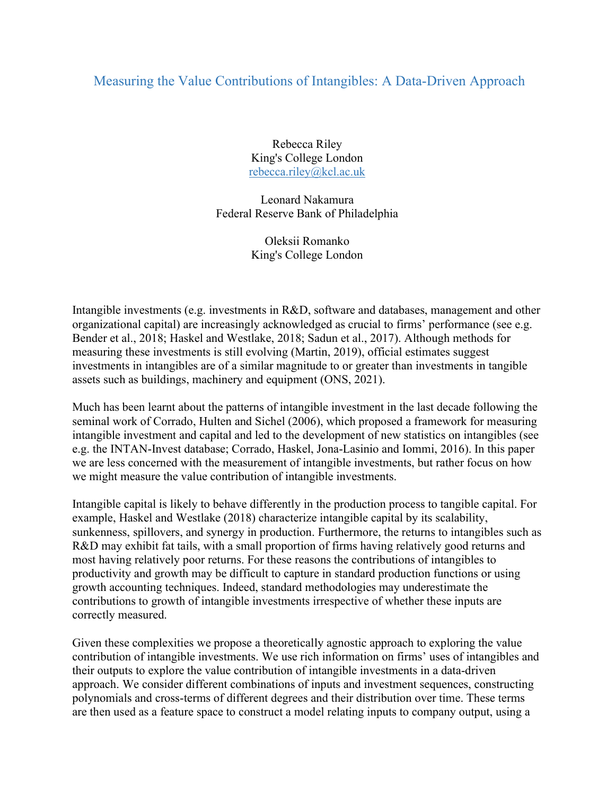## Measuring the Value Contributions of Intangibles: A Data-Driven Approach

Rebecca Riley King's College London rebecca.riley@kcl.ac.uk

Leonard Nakamura Federal Reserve Bank of Philadelphia

> Oleksii Romanko King's College London

Intangible investments (e.g. investments in R&D, software and databases, management and other organizational capital) are increasingly acknowledged as crucial to firms' performance (see e.g. Bender et al., 2018; Haskel and Westlake, 2018; Sadun et al., 2017). Although methods for measuring these investments is still evolving (Martin, 2019), official estimates suggest investments in intangibles are of a similar magnitude to or greater than investments in tangible assets such as buildings, machinery and equipment (ONS, 2021).

Much has been learnt about the patterns of intangible investment in the last decade following the seminal work of Corrado, Hulten and Sichel (2006), which proposed a framework for measuring intangible investment and capital and led to the development of new statistics on intangibles (see e.g. the INTAN-Invest database; Corrado, Haskel, Jona-Lasinio and Iommi, 2016). In this paper we are less concerned with the measurement of intangible investments, but rather focus on how we might measure the value contribution of intangible investments.

Intangible capital is likely to behave differently in the production process to tangible capital. For example, Haskel and Westlake (2018) characterize intangible capital by its scalability, sunkenness, spillovers, and synergy in production. Furthermore, the returns to intangibles such as R&D may exhibit fat tails, with a small proportion of firms having relatively good returns and most having relatively poor returns. For these reasons the contributions of intangibles to productivity and growth may be difficult to capture in standard production functions or using growth accounting techniques. Indeed, standard methodologies may underestimate the contributions to growth of intangible investments irrespective of whether these inputs are correctly measured.

Given these complexities we propose a theoretically agnostic approach to exploring the value contribution of intangible investments. We use rich information on firms' uses of intangibles and their outputs to explore the value contribution of intangible investments in a data-driven approach. We consider different combinations of inputs and investment sequences, constructing polynomials and cross-terms of different degrees and their distribution over time. These terms are then used as a feature space to construct a model relating inputs to company output, using a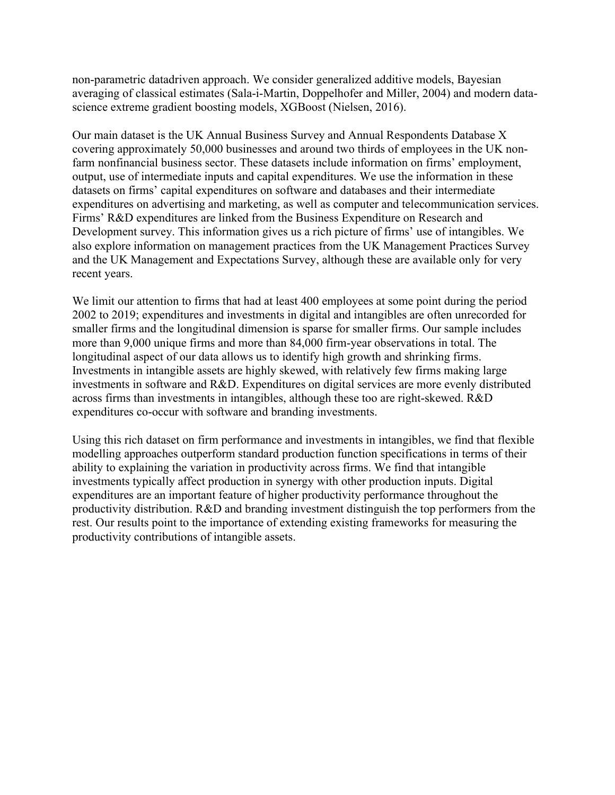non-parametric datadriven approach. We consider generalized additive models, Bayesian averaging of classical estimates (Sala-i-Martin, Doppelhofer and Miller, 2004) and modern datascience extreme gradient boosting models, XGBoost (Nielsen, 2016).

Our main dataset is the UK Annual Business Survey and Annual Respondents Database X covering approximately 50,000 businesses and around two thirds of employees in the UK nonfarm nonfinancial business sector. These datasets include information on firms' employment, output, use of intermediate inputs and capital expenditures. We use the information in these datasets on firms' capital expenditures on software and databases and their intermediate expenditures on advertising and marketing, as well as computer and telecommunication services. Firms' R&D expenditures are linked from the Business Expenditure on Research and Development survey. This information gives us a rich picture of firms' use of intangibles. We also explore information on management practices from the UK Management Practices Survey and the UK Management and Expectations Survey, although these are available only for very recent years.

We limit our attention to firms that had at least 400 employees at some point during the period 2002 to 2019; expenditures and investments in digital and intangibles are often unrecorded for smaller firms and the longitudinal dimension is sparse for smaller firms. Our sample includes more than 9,000 unique firms and more than 84,000 firm-year observations in total. The longitudinal aspect of our data allows us to identify high growth and shrinking firms. Investments in intangible assets are highly skewed, with relatively few firms making large investments in software and R&D. Expenditures on digital services are more evenly distributed across firms than investments in intangibles, although these too are right-skewed. R&D expenditures co-occur with software and branding investments.

Using this rich dataset on firm performance and investments in intangibles, we find that flexible modelling approaches outperform standard production function specifications in terms of their ability to explaining the variation in productivity across firms. We find that intangible investments typically affect production in synergy with other production inputs. Digital expenditures are an important feature of higher productivity performance throughout the productivity distribution. R&D and branding investment distinguish the top performers from the rest. Our results point to the importance of extending existing frameworks for measuring the productivity contributions of intangible assets.